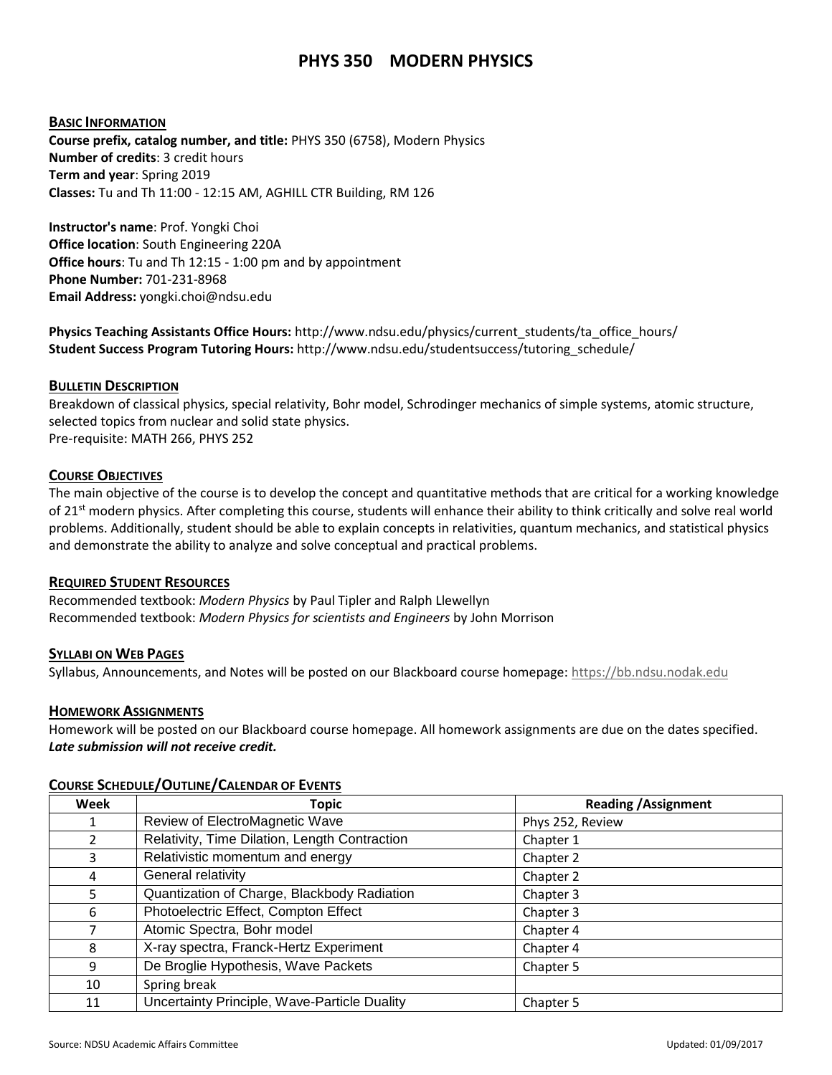# **PHYS 350 MODERN PHYSICS**

### **BASIC INFORMATION**

**Course prefix, catalog number, and title:** PHYS 350 (6758), Modern Physics **Number of credits**: 3 credit hours **Term and year**: Spring 2019 **Classes:** Tu and Th 11:00 - 12:15 AM, AGHILL CTR Building, RM 126

**Instructor's name**: Prof. Yongki Choi **Office location**: South Engineering 220A **Office hours**: Tu and Th 12:15 - 1:00 pm and by appointment **Phone Number:** 701-231-8968 **Email Address:** yongki.choi@ndsu.edu

**Physics Teaching Assistants Office Hours:** http://www.ndsu.edu/physics/current\_students/ta\_office\_hours/ **Student Success Program Tutoring Hours:** http://www.ndsu.edu/studentsuccess/tutoring\_schedule/

#### **BULLETIN DESCRIPTION**

Breakdown of classical physics, special relativity, Bohr model, Schrodinger mechanics of simple systems, atomic structure, selected topics from nuclear and solid state physics. Pre-requisite: MATH 266, PHYS 252

## **COURSE OBJECTIVES**

The main objective of the course is to develop the concept and quantitative methods that are critical for a working knowledge of 21<sup>st</sup> modern physics. After completing this course, students will enhance their ability to think critically and solve real world problems. Additionally, student should be able to explain concepts in relativities, quantum mechanics, and statistical physics and demonstrate the ability to analyze and solve conceptual and practical problems.

## **REQUIRED STUDENT RESOURCES**

Recommended textbook: *Modern Physics* by Paul Tipler and Ralph Llewellyn Recommended textbook: *Modern Physics for scientists and Engineers* by John Morrison

#### **SYLLABI ON WEB PAGES**

Syllabus, Announcements, and Notes will be posted on our Blackboard course homepage[: https://bb.ndsu.nodak.edu](https://bb.ndsu.nodak.edu/)

#### **HOMEWORK ASSIGNMENTS**

Homework will be posted on our Blackboard course homepage. All homework assignments are due on the dates specified. *Late submission will not receive credit.*

| Week          | <b>Topic</b>                                  | <b>Reading / Assignment</b> |
|---------------|-----------------------------------------------|-----------------------------|
|               | Review of ElectroMagnetic Wave                | Phys 252, Review            |
| $\mathcal{P}$ | Relativity, Time Dilation, Length Contraction | Chapter 1                   |
| 3             | Relativistic momentum and energy              | Chapter 2                   |
| 4             | General relativity                            | Chapter 2                   |
| 5             | Quantization of Charge, Blackbody Radiation   | Chapter 3                   |
| 6             | Photoelectric Effect, Compton Effect          | Chapter 3                   |
| 7             | Atomic Spectra, Bohr model                    | Chapter 4                   |
| 8             | X-ray spectra, Franck-Hertz Experiment        | Chapter 4                   |
| 9             | De Broglie Hypothesis, Wave Packets           | Chapter 5                   |
| 10            | Spring break                                  |                             |
| 11            | Uncertainty Principle, Wave-Particle Duality  | Chapter 5                   |

#### **COURSE SCHEDULE/OUTLINE/CALENDAR OF EVENTS**